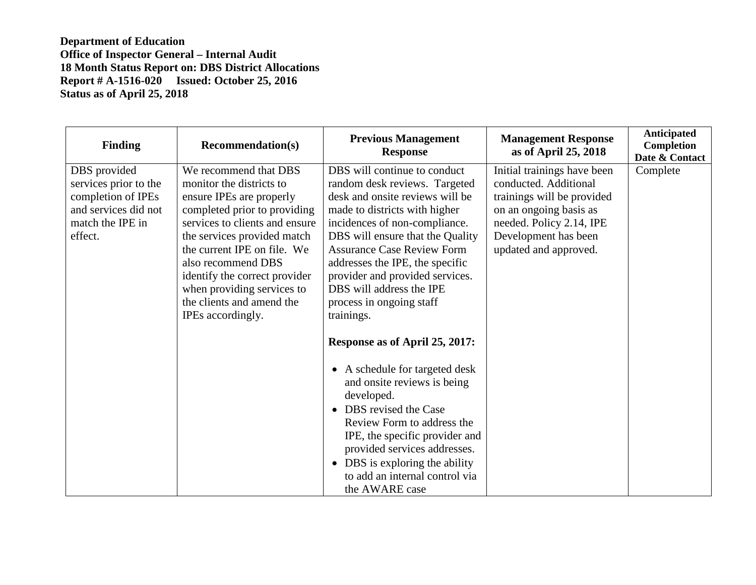| <b>Finding</b>                                                                                                     | <b>Recommendation(s)</b>                                                                                                                                                                                                                                                                                                                             | <b>Previous Management</b><br><b>Response</b>                                                                                                                                                                                                                                                                                                                                           | <b>Management Response</b><br>as of April 25, 2018                                                                                                                                        | Anticipated<br>Completion<br>Date & Contact |
|--------------------------------------------------------------------------------------------------------------------|------------------------------------------------------------------------------------------------------------------------------------------------------------------------------------------------------------------------------------------------------------------------------------------------------------------------------------------------------|-----------------------------------------------------------------------------------------------------------------------------------------------------------------------------------------------------------------------------------------------------------------------------------------------------------------------------------------------------------------------------------------|-------------------------------------------------------------------------------------------------------------------------------------------------------------------------------------------|---------------------------------------------|
| DBS provided<br>services prior to the<br>completion of IPEs<br>and services did not<br>match the IPE in<br>effect. | We recommend that DBS<br>monitor the districts to<br>ensure IPEs are properly<br>completed prior to providing<br>services to clients and ensure<br>the services provided match<br>the current IPE on file. We<br>also recommend DBS<br>identify the correct provider<br>when providing services to<br>the clients and amend the<br>IPEs accordingly. | DBS will continue to conduct<br>random desk reviews. Targeted<br>desk and onsite reviews will be<br>made to districts with higher<br>incidences of non-compliance.<br>DBS will ensure that the Quality<br><b>Assurance Case Review Form</b><br>addresses the IPE, the specific<br>provider and provided services.<br>DBS will address the IPE<br>process in ongoing staff<br>trainings. | Initial trainings have been<br>conducted. Additional<br>trainings will be provided<br>on an ongoing basis as<br>needed. Policy 2.14, IPE<br>Development has been<br>updated and approved. | Complete                                    |
|                                                                                                                    |                                                                                                                                                                                                                                                                                                                                                      | Response as of April 25, 2017:<br>A schedule for targeted desk<br>$\bullet$<br>and onsite reviews is being<br>developed.<br>DBS revised the Case<br>Review Form to address the<br>IPE, the specific provider and<br>provided services addresses.<br>DBS is exploring the ability<br>$\bullet$<br>to add an internal control via<br>the AWARE case                                       |                                                                                                                                                                                           |                                             |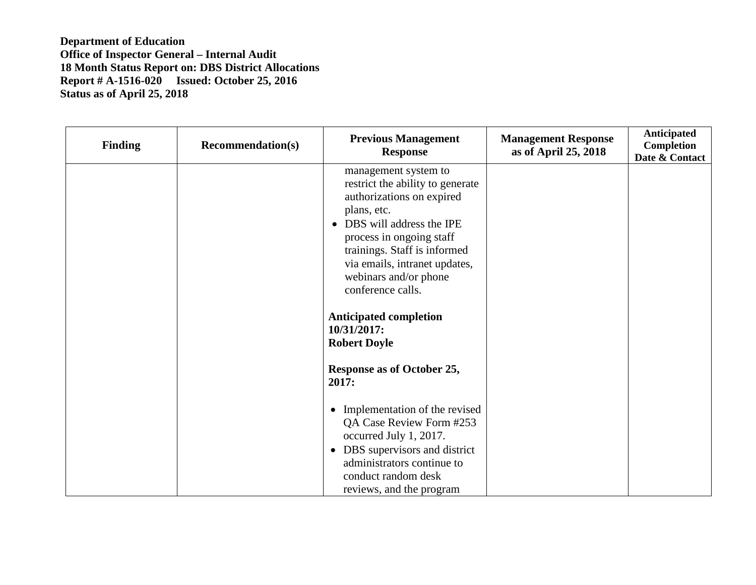| <b>Finding</b> | <b>Recommendation(s)</b> | <b>Previous Management</b><br><b>Response</b>                                                                                                                                                                                                                                            | <b>Management Response</b><br>as of April 25, 2018 | Anticipated<br>Completion<br>Date & Contact |
|----------------|--------------------------|------------------------------------------------------------------------------------------------------------------------------------------------------------------------------------------------------------------------------------------------------------------------------------------|----------------------------------------------------|---------------------------------------------|
|                |                          | management system to<br>restrict the ability to generate<br>authorizations on expired<br>plans, etc.<br>DBS will address the IPE<br>$\bullet$<br>process in ongoing staff<br>trainings. Staff is informed<br>via emails, intranet updates,<br>webinars and/or phone<br>conference calls. |                                                    |                                             |
|                |                          | <b>Anticipated completion</b><br>10/31/2017:<br><b>Robert Doyle</b>                                                                                                                                                                                                                      |                                                    |                                             |
|                |                          | Response as of October 25,<br>2017:                                                                                                                                                                                                                                                      |                                                    |                                             |
|                |                          | Implementation of the revised<br>QA Case Review Form #253<br>occurred July 1, 2017.<br>• DBS supervisors and district<br>administrators continue to<br>conduct random desk<br>reviews, and the program                                                                                   |                                                    |                                             |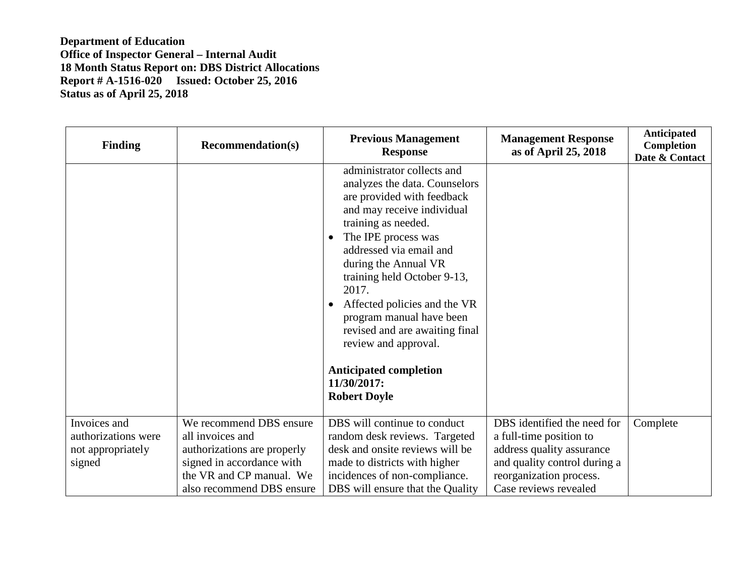| <b>Finding</b>                                                     | <b>Recommendation(s)</b>                                                                                                            | <b>Previous Management</b><br><b>Response</b>                                                                                                                                                                                                                                                                                                                                                                                                                              | <b>Management Response</b><br>as of April 25, 2018                                                                                             | <b>Anticipated</b><br><b>Completion</b><br>Date & Contact |
|--------------------------------------------------------------------|-------------------------------------------------------------------------------------------------------------------------------------|----------------------------------------------------------------------------------------------------------------------------------------------------------------------------------------------------------------------------------------------------------------------------------------------------------------------------------------------------------------------------------------------------------------------------------------------------------------------------|------------------------------------------------------------------------------------------------------------------------------------------------|-----------------------------------------------------------|
|                                                                    |                                                                                                                                     | administrator collects and<br>analyzes the data. Counselors<br>are provided with feedback<br>and may receive individual<br>training as needed.<br>The IPE process was<br>$\bullet$<br>addressed via email and<br>during the Annual VR<br>training held October 9-13,<br>2017.<br>Affected policies and the VR<br>program manual have been<br>revised and are awaiting final<br>review and approval.<br><b>Anticipated completion</b><br>11/30/2017:<br><b>Robert Doyle</b> |                                                                                                                                                |                                                           |
| Invoices and<br>authorizations were<br>not appropriately<br>signed | We recommend DBS ensure<br>all invoices and<br>authorizations are properly<br>signed in accordance with<br>the VR and CP manual. We | DBS will continue to conduct<br>random desk reviews. Targeted<br>desk and onsite reviews will be<br>made to districts with higher<br>incidences of non-compliance.                                                                                                                                                                                                                                                                                                         | DBS identified the need for<br>a full-time position to<br>address quality assurance<br>and quality control during a<br>reorganization process. | Complete                                                  |
|                                                                    | also recommend DBS ensure                                                                                                           | DBS will ensure that the Quality                                                                                                                                                                                                                                                                                                                                                                                                                                           | Case reviews revealed                                                                                                                          |                                                           |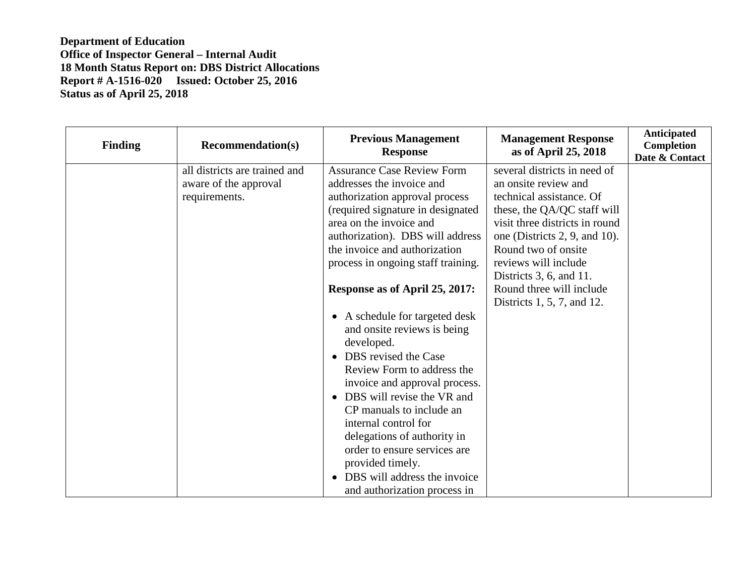| <b>Finding</b> | <b>Recommendation(s)</b>                                                | <b>Previous Management</b><br><b>Response</b>                                                                                                                                                                                                               | <b>Management Response</b><br>as of April 25, 2018                                                                                        | <b>Anticipated</b><br>Completion<br>Date & Contact |
|----------------|-------------------------------------------------------------------------|-------------------------------------------------------------------------------------------------------------------------------------------------------------------------------------------------------------------------------------------------------------|-------------------------------------------------------------------------------------------------------------------------------------------|----------------------------------------------------|
|                | all districts are trained and<br>aware of the approval<br>requirements. | <b>Assurance Case Review Form</b><br>addresses the invoice and<br>authorization approval process<br>(required signature in designated                                                                                                                       | several districts in need of<br>an onsite review and<br>technical assistance. Of<br>these, the QA/QC staff will                           |                                                    |
|                |                                                                         | area on the invoice and<br>authorization). DBS will address<br>the invoice and authorization<br>process in ongoing staff training.                                                                                                                          | visit three districts in round<br>one (Districts 2, 9, and 10).<br>Round two of onsite<br>reviews will include<br>Districts 3, 6, and 11. |                                                    |
|                |                                                                         | Response as of April 25, 2017:<br>A schedule for targeted desk<br>$\bullet$<br>and onsite reviews is being<br>developed.<br>DBS revised the Case<br>$\bullet$<br>Review Form to address the<br>invoice and approval process.                                | Round three will include<br>Districts 1, 5, 7, and 12.                                                                                    |                                                    |
|                |                                                                         | DBS will revise the VR and<br>$\bullet$<br>CP manuals to include an<br>internal control for<br>delegations of authority in<br>order to ensure services are<br>provided timely.<br>DBS will address the invoice<br>$\bullet$<br>and authorization process in |                                                                                                                                           |                                                    |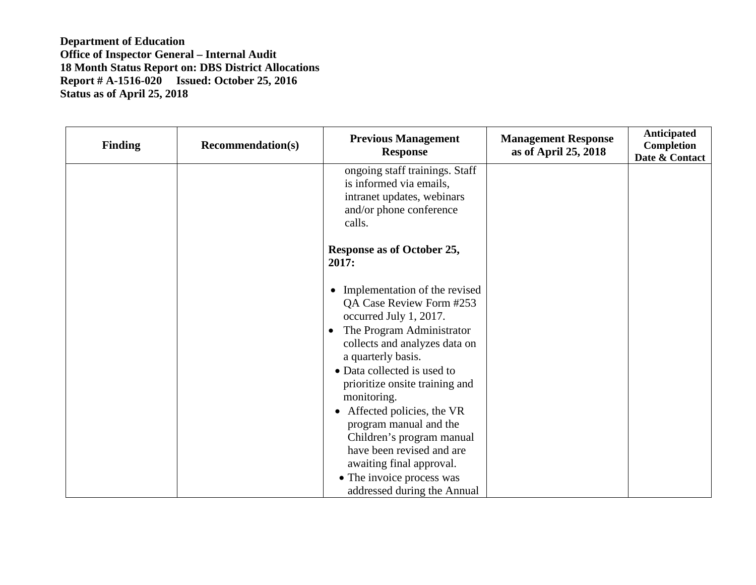| <b>Finding</b> | <b>Recommendation(s)</b> | <b>Previous Management</b><br><b>Response</b>                                                                                   | <b>Management Response</b><br>as of April 25, 2018 | Anticipated<br>Completion<br>Date & Contact |
|----------------|--------------------------|---------------------------------------------------------------------------------------------------------------------------------|----------------------------------------------------|---------------------------------------------|
|                |                          | ongoing staff trainings. Staff<br>is informed via emails,<br>intranet updates, webinars<br>and/or phone conference<br>calls.    |                                                    |                                             |
|                |                          | Response as of October 25,<br>2017:                                                                                             |                                                    |                                             |
|                |                          | • Implementation of the revised<br>QA Case Review Form #253<br>occurred July 1, 2017.<br>The Program Administrator<br>$\bullet$ |                                                    |                                             |
|                |                          | collects and analyzes data on<br>a quarterly basis.                                                                             |                                                    |                                             |
|                |                          | • Data collected is used to<br>prioritize onsite training and<br>monitoring.                                                    |                                                    |                                             |
|                |                          | • Affected policies, the VR<br>program manual and the<br>Children's program manual                                              |                                                    |                                             |
|                |                          | have been revised and are<br>awaiting final approval.                                                                           |                                                    |                                             |
|                |                          | • The invoice process was<br>addressed during the Annual                                                                        |                                                    |                                             |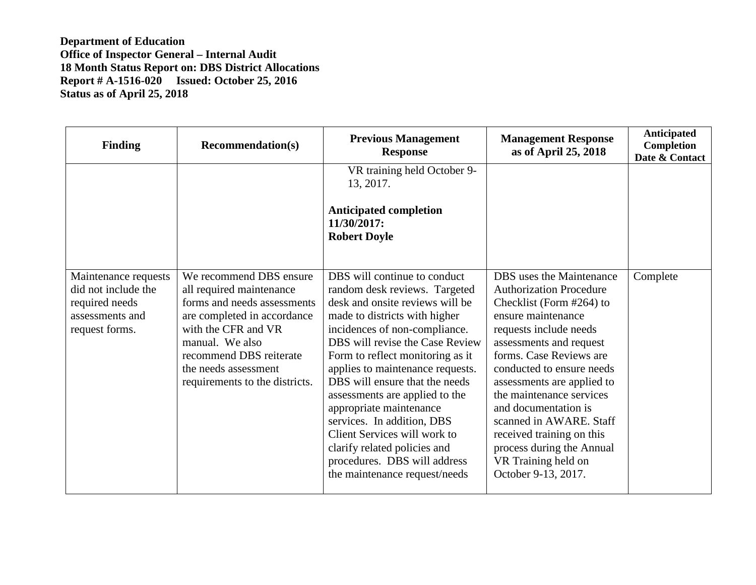| <b>Finding</b>                                                                                     | <b>Recommendation(s)</b>                                                                                                                                                                                                                         | <b>Previous Management</b><br><b>Response</b>                                                                                                                                                                                                                                                                                                                                                                                                                                                                                               | <b>Management Response</b><br>as of April 25, 2018                                                                                                                                                                                                                                                                                                                                                                                             | <b>Anticipated</b><br>Completion<br>Date & Contact |
|----------------------------------------------------------------------------------------------------|--------------------------------------------------------------------------------------------------------------------------------------------------------------------------------------------------------------------------------------------------|---------------------------------------------------------------------------------------------------------------------------------------------------------------------------------------------------------------------------------------------------------------------------------------------------------------------------------------------------------------------------------------------------------------------------------------------------------------------------------------------------------------------------------------------|------------------------------------------------------------------------------------------------------------------------------------------------------------------------------------------------------------------------------------------------------------------------------------------------------------------------------------------------------------------------------------------------------------------------------------------------|----------------------------------------------------|
|                                                                                                    |                                                                                                                                                                                                                                                  | VR training held October 9-<br>13, 2017.                                                                                                                                                                                                                                                                                                                                                                                                                                                                                                    |                                                                                                                                                                                                                                                                                                                                                                                                                                                |                                                    |
|                                                                                                    |                                                                                                                                                                                                                                                  | <b>Anticipated completion</b><br>11/30/2017:<br><b>Robert Doyle</b>                                                                                                                                                                                                                                                                                                                                                                                                                                                                         |                                                                                                                                                                                                                                                                                                                                                                                                                                                |                                                    |
| Maintenance requests<br>did not include the<br>required needs<br>assessments and<br>request forms. | We recommend DBS ensure<br>all required maintenance<br>forms and needs assessments<br>are completed in accordance<br>with the CFR and VR<br>manual. We also<br>recommend DBS reiterate<br>the needs assessment<br>requirements to the districts. | DBS will continue to conduct<br>random desk reviews. Targeted<br>desk and onsite reviews will be<br>made to districts with higher<br>incidences of non-compliance.<br>DBS will revise the Case Review<br>Form to reflect monitoring as it<br>applies to maintenance requests.<br>DBS will ensure that the needs<br>assessments are applied to the<br>appropriate maintenance<br>services. In addition, DBS<br>Client Services will work to<br>clarify related policies and<br>procedures. DBS will address<br>the maintenance request/needs | DBS uses the Maintenance<br><b>Authorization Procedure</b><br>Checklist (Form #264) to<br>ensure maintenance<br>requests include needs<br>assessments and request<br>forms. Case Reviews are<br>conducted to ensure needs<br>assessments are applied to<br>the maintenance services<br>and documentation is<br>scanned in AWARE. Staff<br>received training on this<br>process during the Annual<br>VR Training held on<br>October 9-13, 2017. | Complete                                           |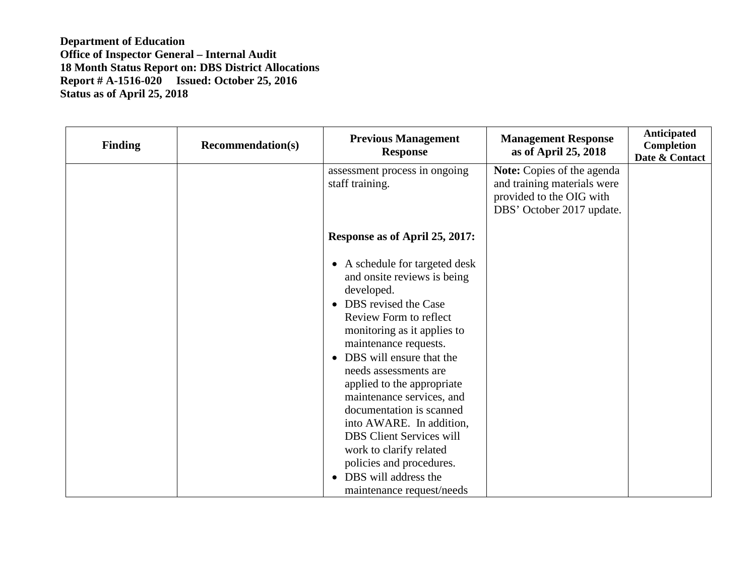| <b>Finding</b> | <b>Recommendation(s)</b> | <b>Previous Management</b><br><b>Response</b>                                                                                                                                                                                                                                                                                                                                                                                                                                                                                            | <b>Management Response</b><br>as of April 25, 2018                                                                        | Anticipated<br><b>Completion</b><br>Date & Contact |
|----------------|--------------------------|------------------------------------------------------------------------------------------------------------------------------------------------------------------------------------------------------------------------------------------------------------------------------------------------------------------------------------------------------------------------------------------------------------------------------------------------------------------------------------------------------------------------------------------|---------------------------------------------------------------------------------------------------------------------------|----------------------------------------------------|
|                |                          | assessment process in ongoing<br>staff training.                                                                                                                                                                                                                                                                                                                                                                                                                                                                                         | <b>Note:</b> Copies of the agenda<br>and training materials were<br>provided to the OIG with<br>DBS' October 2017 update. |                                                    |
|                |                          | Response as of April 25, 2017:                                                                                                                                                                                                                                                                                                                                                                                                                                                                                                           |                                                                                                                           |                                                    |
|                |                          | • A schedule for targeted desk<br>and onsite reviews is being<br>developed.<br>• DBS revised the Case<br>Review Form to reflect<br>monitoring as it applies to<br>maintenance requests.<br>DBS will ensure that the<br>$\bullet$<br>needs assessments are<br>applied to the appropriate<br>maintenance services, and<br>documentation is scanned<br>into AWARE. In addition,<br><b>DBS</b> Client Services will<br>work to clarify related<br>policies and procedures.<br>DBS will address the<br>$\bullet$<br>maintenance request/needs |                                                                                                                           |                                                    |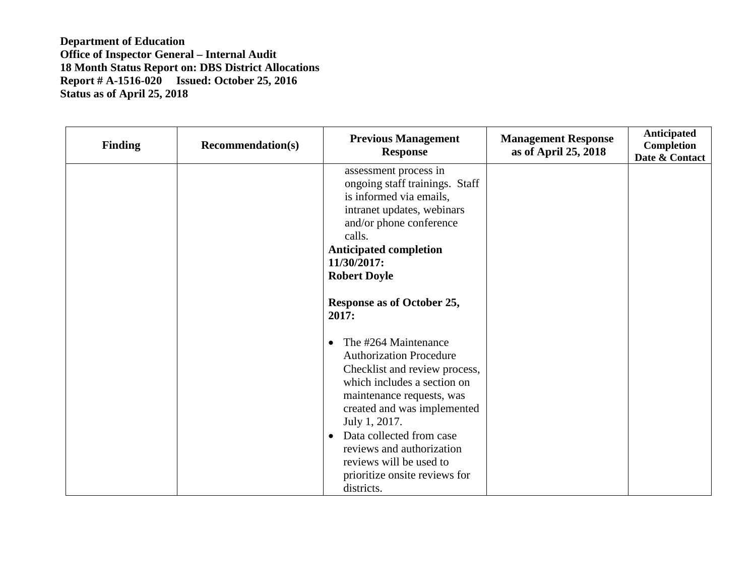| <b>Finding</b> | <b>Recommendation(s)</b> | <b>Previous Management</b><br><b>Response</b>                                                                                                                                                                                                                                                                                                       | <b>Management Response</b><br>as of April 25, 2018 | Anticipated<br>Completion<br>Date & Contact |
|----------------|--------------------------|-----------------------------------------------------------------------------------------------------------------------------------------------------------------------------------------------------------------------------------------------------------------------------------------------------------------------------------------------------|----------------------------------------------------|---------------------------------------------|
|                |                          | assessment process in<br>ongoing staff trainings. Staff<br>is informed via emails,<br>intranet updates, webinars<br>and/or phone conference<br>calls.<br><b>Anticipated completion</b><br>11/30/2017:<br><b>Robert Doyle</b>                                                                                                                        |                                                    |                                             |
|                |                          | Response as of October 25,<br>2017:                                                                                                                                                                                                                                                                                                                 |                                                    |                                             |
|                |                          | The #264 Maintenance<br><b>Authorization Procedure</b><br>Checklist and review process,<br>which includes a section on<br>maintenance requests, was<br>created and was implemented<br>July 1, 2017.<br>Data collected from case<br>$\bullet$<br>reviews and authorization<br>reviews will be used to<br>prioritize onsite reviews for<br>districts. |                                                    |                                             |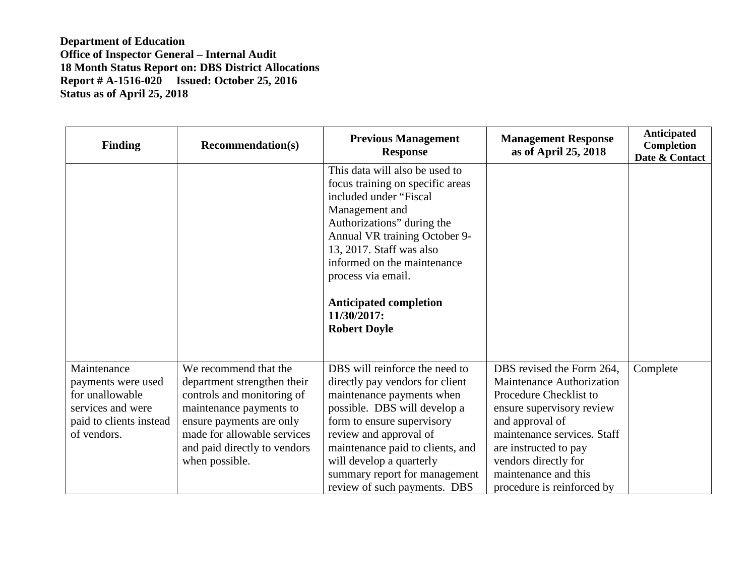| <b>Finding</b>                                                                                                      | <b>Recommendation(s)</b>                                                                                                                                                                                                   | <b>Previous Management</b><br><b>Response</b>                                                                                                                                                                                                                                                                                         | <b>Management Response</b><br>as of April 25, 2018                                                                                                                                                                                                                     | Anticipated<br>Completion<br>Date & Contact |
|---------------------------------------------------------------------------------------------------------------------|----------------------------------------------------------------------------------------------------------------------------------------------------------------------------------------------------------------------------|---------------------------------------------------------------------------------------------------------------------------------------------------------------------------------------------------------------------------------------------------------------------------------------------------------------------------------------|------------------------------------------------------------------------------------------------------------------------------------------------------------------------------------------------------------------------------------------------------------------------|---------------------------------------------|
|                                                                                                                     |                                                                                                                                                                                                                            | This data will also be used to<br>focus training on specific areas<br>included under "Fiscal<br>Management and<br>Authorizations" during the<br>Annual VR training October 9-<br>13, 2017. Staff was also<br>informed on the maintenance<br>process via email.<br><b>Anticipated completion</b><br>11/30/2017:<br><b>Robert Doyle</b> |                                                                                                                                                                                                                                                                        |                                             |
| Maintenance<br>payments were used<br>for unallowable<br>services and were<br>paid to clients instead<br>of vendors. | We recommend that the<br>department strengthen their<br>controls and monitoring of<br>maintenance payments to<br>ensure payments are only<br>made for allowable services<br>and paid directly to vendors<br>when possible. | DBS will reinforce the need to<br>directly pay vendors for client<br>maintenance payments when<br>possible. DBS will develop a<br>form to ensure supervisory<br>review and approval of<br>maintenance paid to clients, and<br>will develop a quarterly<br>summary report for management<br>review of such payments. DBS               | DBS revised the Form 264,<br>Maintenance Authorization<br>Procedure Checklist to<br>ensure supervisory review<br>and approval of<br>maintenance services. Staff<br>are instructed to pay<br>vendors directly for<br>maintenance and this<br>procedure is reinforced by | Complete                                    |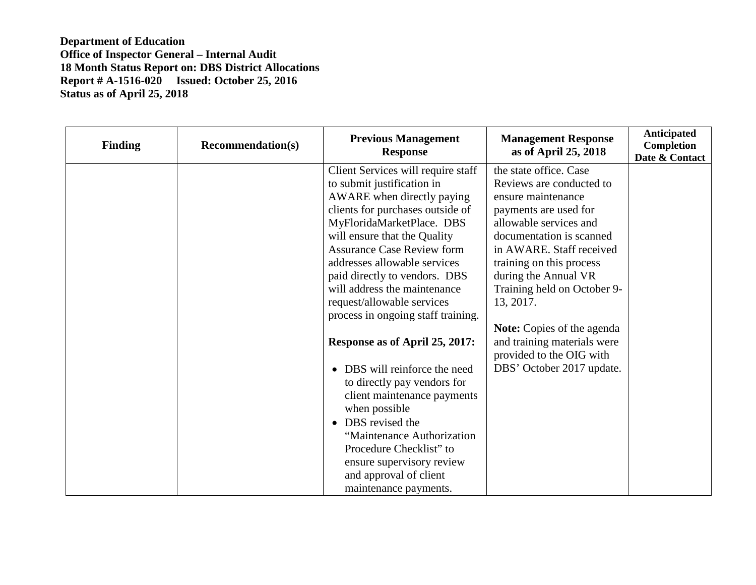| <b>Finding</b> | <b>Recommendation(s)</b> | <b>Previous Management</b><br><b>Response</b> | <b>Management Response</b><br>as of April 25, 2018      | Anticipated<br>Completion<br>Date & Contact |
|----------------|--------------------------|-----------------------------------------------|---------------------------------------------------------|---------------------------------------------|
|                |                          | Client Services will require staff            | the state office. Case                                  |                                             |
|                |                          | to submit justification in                    | Reviews are conducted to                                |                                             |
|                |                          | AWARE when directly paying                    | ensure maintenance                                      |                                             |
|                |                          | clients for purchases outside of              | payments are used for                                   |                                             |
|                |                          | MyFloridaMarketPlace. DBS                     | allowable services and                                  |                                             |
|                |                          | will ensure that the Quality                  | documentation is scanned                                |                                             |
|                |                          | <b>Assurance Case Review form</b>             | in AWARE. Staff received                                |                                             |
|                |                          | addresses allowable services                  | training on this process                                |                                             |
|                |                          | paid directly to vendors. DBS                 | during the Annual VR                                    |                                             |
|                |                          | will address the maintenance                  | Training held on October 9-                             |                                             |
|                |                          | request/allowable services                    | 13, 2017.                                               |                                             |
|                |                          | process in ongoing staff training.            |                                                         |                                             |
|                |                          |                                               | <b>Note:</b> Copies of the agenda                       |                                             |
|                |                          | Response as of April 25, 2017:                | and training materials were<br>provided to the OIG with |                                             |
|                |                          | DBS will reinforce the need<br>$\bullet$      | DBS' October 2017 update.                               |                                             |
|                |                          | to directly pay vendors for                   |                                                         |                                             |
|                |                          | client maintenance payments                   |                                                         |                                             |
|                |                          | when possible                                 |                                                         |                                             |
|                |                          | DBS revised the<br>$\bullet$                  |                                                         |                                             |
|                |                          | "Maintenance Authorization                    |                                                         |                                             |
|                |                          | Procedure Checklist" to                       |                                                         |                                             |
|                |                          | ensure supervisory review                     |                                                         |                                             |
|                |                          | and approval of client                        |                                                         |                                             |
|                |                          | maintenance payments.                         |                                                         |                                             |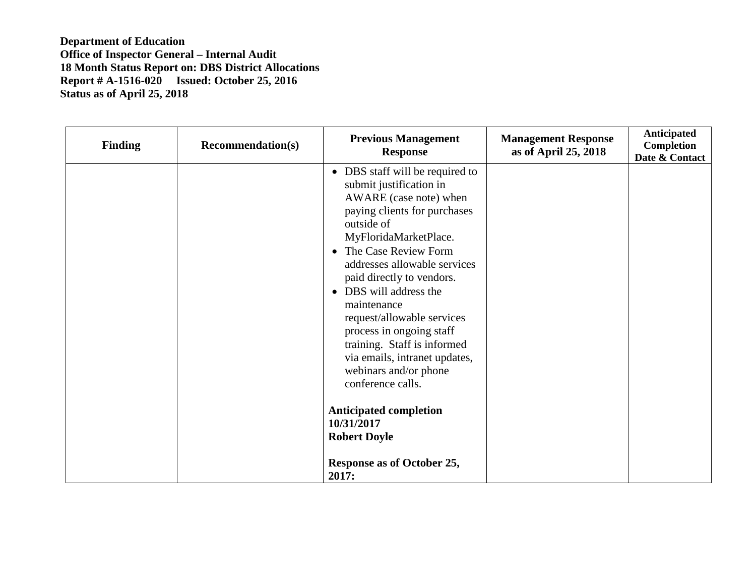| <b>Finding</b> | <b>Recommendation(s)</b> | <b>Previous Management</b><br><b>Response</b>                                                                                                                                                                                                                                                                                                                                                                                                                                                                                                                                    | <b>Management Response</b><br>as of April 25, 2018 | Anticipated<br><b>Completion</b><br>Date & Contact |
|----------------|--------------------------|----------------------------------------------------------------------------------------------------------------------------------------------------------------------------------------------------------------------------------------------------------------------------------------------------------------------------------------------------------------------------------------------------------------------------------------------------------------------------------------------------------------------------------------------------------------------------------|----------------------------------------------------|----------------------------------------------------|
|                |                          | • DBS staff will be required to<br>submit justification in<br>AWARE (case note) when<br>paying clients for purchases<br>outside of<br>MyFloridaMarketPlace.<br>• The Case Review Form<br>addresses allowable services<br>paid directly to vendors.<br>• DBS will address the<br>maintenance<br>request/allowable services<br>process in ongoing staff<br>training. Staff is informed<br>via emails, intranet updates,<br>webinars and/or phone<br>conference calls.<br><b>Anticipated completion</b><br>10/31/2017<br><b>Robert Doyle</b><br>Response as of October 25,<br>2017: |                                                    |                                                    |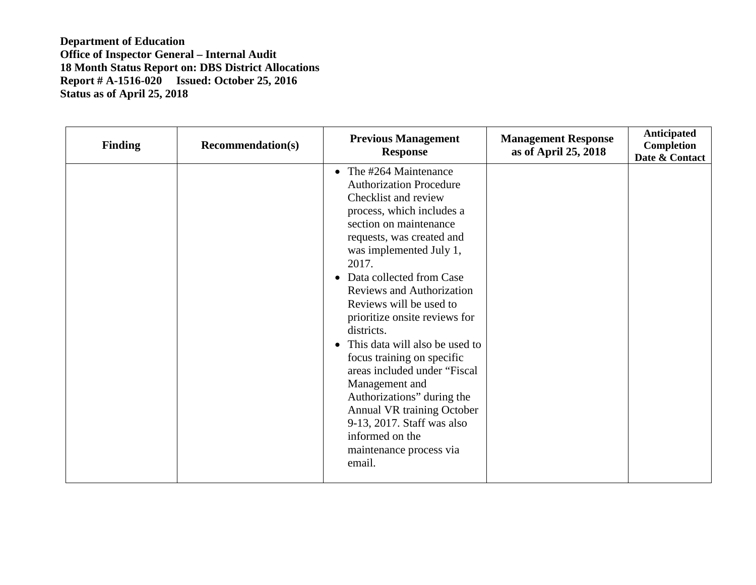| <b>Finding</b> | <b>Recommendation(s)</b> | <b>Previous Management</b><br><b>Response</b>                                                                                                                                                                                                                                                                                                                                                                                                                                                                                                                                                                                            | <b>Management Response</b><br>as of April 25, 2018 | Anticipated<br>Completion<br>Date & Contact |
|----------------|--------------------------|------------------------------------------------------------------------------------------------------------------------------------------------------------------------------------------------------------------------------------------------------------------------------------------------------------------------------------------------------------------------------------------------------------------------------------------------------------------------------------------------------------------------------------------------------------------------------------------------------------------------------------------|----------------------------------------------------|---------------------------------------------|
|                |                          | • The $\#264$ Maintenance<br><b>Authorization Procedure</b><br>Checklist and review<br>process, which includes a<br>section on maintenance<br>requests, was created and<br>was implemented July 1,<br>2017.<br>• Data collected from Case<br><b>Reviews and Authorization</b><br>Reviews will be used to<br>prioritize onsite reviews for<br>districts.<br>This data will also be used to<br>$\bullet$<br>focus training on specific<br>areas included under "Fiscal<br>Management and<br>Authorizations" during the<br>Annual VR training October<br>9-13, 2017. Staff was also<br>informed on the<br>maintenance process via<br>email. |                                                    |                                             |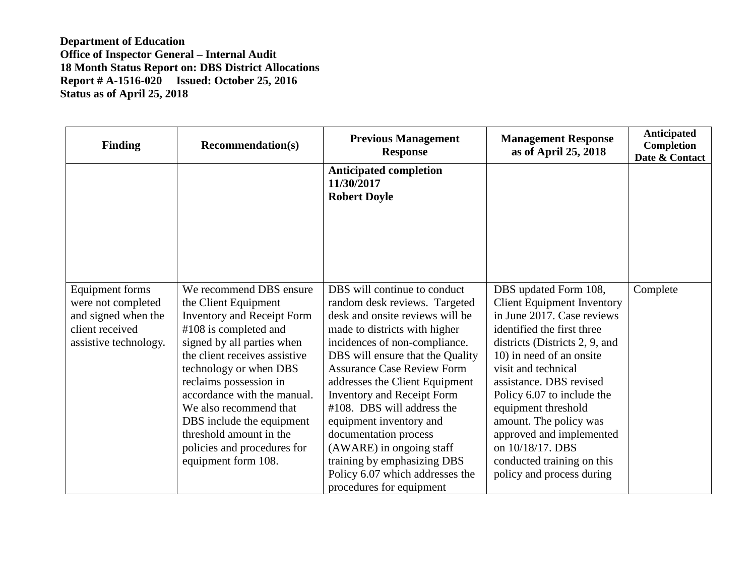| <b>Finding</b>                                                                                                  | <b>Recommendation(s)</b>                                                                                                                                                                                                                                                                                                                                                                                | <b>Previous Management</b><br><b>Response</b>                                                                                                                                                                                                                                                                                                                                                                                                                                                                                  | <b>Management Response</b><br>as of April 25, 2018                                                                                                                                                                                                                                                                                                                                                                               | Anticipated<br>Completion<br>Date & Contact |
|-----------------------------------------------------------------------------------------------------------------|---------------------------------------------------------------------------------------------------------------------------------------------------------------------------------------------------------------------------------------------------------------------------------------------------------------------------------------------------------------------------------------------------------|--------------------------------------------------------------------------------------------------------------------------------------------------------------------------------------------------------------------------------------------------------------------------------------------------------------------------------------------------------------------------------------------------------------------------------------------------------------------------------------------------------------------------------|----------------------------------------------------------------------------------------------------------------------------------------------------------------------------------------------------------------------------------------------------------------------------------------------------------------------------------------------------------------------------------------------------------------------------------|---------------------------------------------|
|                                                                                                                 |                                                                                                                                                                                                                                                                                                                                                                                                         | <b>Anticipated completion</b><br>11/30/2017<br><b>Robert Doyle</b>                                                                                                                                                                                                                                                                                                                                                                                                                                                             |                                                                                                                                                                                                                                                                                                                                                                                                                                  |                                             |
| <b>Equipment forms</b><br>were not completed<br>and signed when the<br>client received<br>assistive technology. | We recommend DBS ensure<br>the Client Equipment<br><b>Inventory and Receipt Form</b><br>#108 is completed and<br>signed by all parties when<br>the client receives assistive<br>technology or when DBS<br>reclaims possession in<br>accordance with the manual.<br>We also recommend that<br>DBS include the equipment<br>threshold amount in the<br>policies and procedures for<br>equipment form 108. | DBS will continue to conduct<br>random desk reviews. Targeted<br>desk and onsite reviews will be<br>made to districts with higher<br>incidences of non-compliance.<br>DBS will ensure that the Quality<br><b>Assurance Case Review Form</b><br>addresses the Client Equipment<br><b>Inventory and Receipt Form</b><br>#108. DBS will address the<br>equipment inventory and<br>documentation process<br>(AWARE) in ongoing staff<br>training by emphasizing DBS<br>Policy 6.07 which addresses the<br>procedures for equipment | DBS updated Form 108,<br><b>Client Equipment Inventory</b><br>in June 2017. Case reviews<br>identified the first three<br>districts (Districts 2, 9, and<br>10) in need of an onsite<br>visit and technical<br>assistance. DBS revised<br>Policy 6.07 to include the<br>equipment threshold<br>amount. The policy was<br>approved and implemented<br>on 10/18/17. DBS<br>conducted training on this<br>policy and process during | Complete                                    |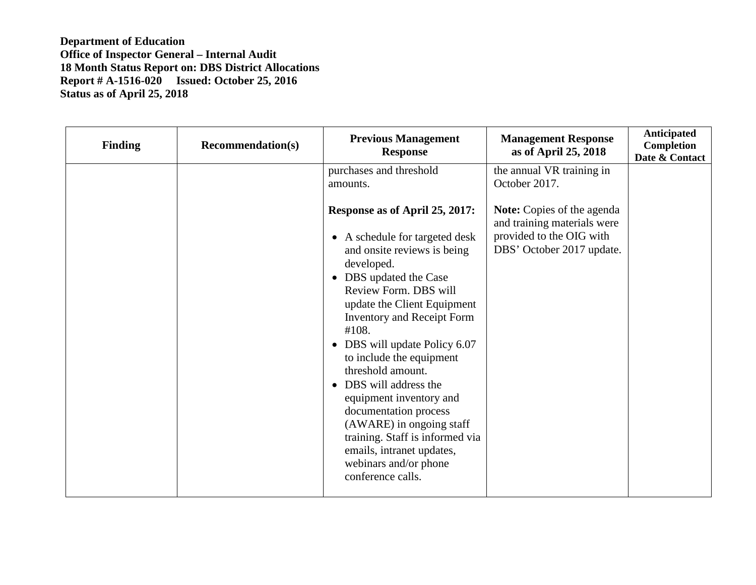| <b>Finding</b> | <b>Recommendation(s)</b> | <b>Previous Management</b><br><b>Response</b>                                                                                                                                                                                                                                                                                                                                                                                                                 | <b>Management Response</b><br>as of April 25, 2018                                                                                                                      | <b>Anticipated</b><br>Completion<br>Date & Contact |
|----------------|--------------------------|---------------------------------------------------------------------------------------------------------------------------------------------------------------------------------------------------------------------------------------------------------------------------------------------------------------------------------------------------------------------------------------------------------------------------------------------------------------|-------------------------------------------------------------------------------------------------------------------------------------------------------------------------|----------------------------------------------------|
|                |                          | purchases and threshold<br>amounts.<br>Response as of April 25, 2017:<br>• A schedule for targeted desk<br>and onsite reviews is being<br>developed.<br>DBS updated the Case<br>$\bullet$<br>Review Form. DBS will<br>update the Client Equipment<br><b>Inventory and Receipt Form</b><br>#108.<br>• DBS will update Policy 6.07<br>to include the equipment<br>threshold amount.<br>DBS will address the<br>equipment inventory and<br>documentation process | the annual VR training in<br>October 2017.<br><b>Note:</b> Copies of the agenda<br>and training materials were<br>provided to the OIG with<br>DBS' October 2017 update. |                                                    |
|                |                          | (AWARE) in ongoing staff<br>training. Staff is informed via<br>emails, intranet updates,<br>webinars and/or phone<br>conference calls.                                                                                                                                                                                                                                                                                                                        |                                                                                                                                                                         |                                                    |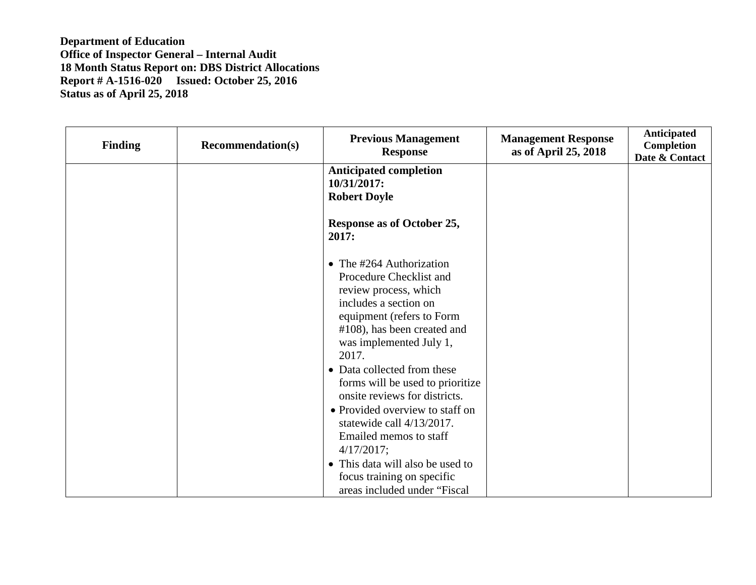| <b>Finding</b> | <b>Recommendation(s)</b> | <b>Previous Management</b><br><b>Response</b>                                                                                                                                                                                                                                                                                                                                                                                                                                                                           | <b>Management Response</b><br>as of April 25, 2018 | Anticipated<br><b>Completion</b><br>Date & Contact |
|----------------|--------------------------|-------------------------------------------------------------------------------------------------------------------------------------------------------------------------------------------------------------------------------------------------------------------------------------------------------------------------------------------------------------------------------------------------------------------------------------------------------------------------------------------------------------------------|----------------------------------------------------|----------------------------------------------------|
|                |                          | <b>Anticipated completion</b><br>10/31/2017:<br><b>Robert Doyle</b>                                                                                                                                                                                                                                                                                                                                                                                                                                                     |                                                    |                                                    |
|                |                          | Response as of October 25,<br>2017:                                                                                                                                                                                                                                                                                                                                                                                                                                                                                     |                                                    |                                                    |
|                |                          | • The $\#264$ Authorization<br>Procedure Checklist and<br>review process, which<br>includes a section on<br>equipment (refers to Form<br>#108), has been created and<br>was implemented July 1,<br>2017.<br>• Data collected from these<br>forms will be used to prioritize<br>onsite reviews for districts.<br>• Provided overview to staff on<br>statewide call 4/13/2017.<br>Emailed memos to staff<br>4/17/2017;<br>• This data will also be used to<br>focus training on specific<br>areas included under "Fiscal" |                                                    |                                                    |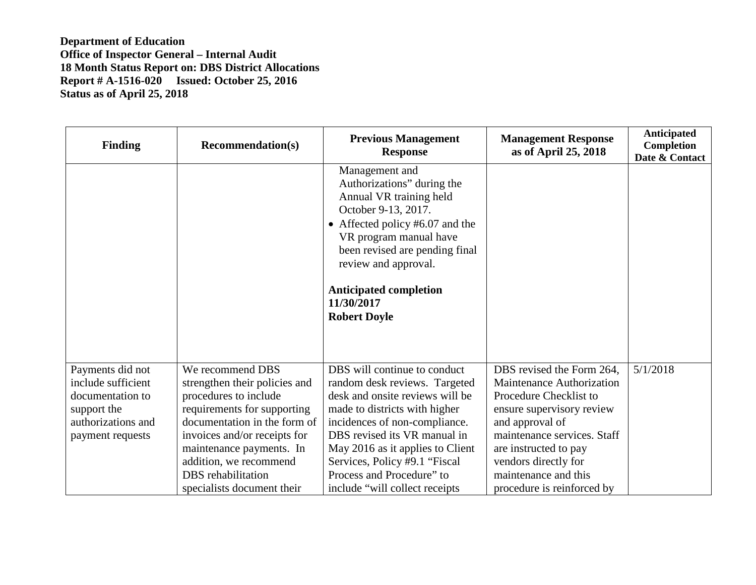| <b>Finding</b>                                                                                                      | <b>Recommendation(s)</b>                                                                                                                                                                                                                                                                   | <b>Previous Management</b><br><b>Response</b>                                                                                                                                                                                                                                                                                          | <b>Management Response</b><br>as of April 25, 2018                                                                                                                                                                                                                     | <b>Anticipated</b><br>Completion<br>Date & Contact |
|---------------------------------------------------------------------------------------------------------------------|--------------------------------------------------------------------------------------------------------------------------------------------------------------------------------------------------------------------------------------------------------------------------------------------|----------------------------------------------------------------------------------------------------------------------------------------------------------------------------------------------------------------------------------------------------------------------------------------------------------------------------------------|------------------------------------------------------------------------------------------------------------------------------------------------------------------------------------------------------------------------------------------------------------------------|----------------------------------------------------|
|                                                                                                                     |                                                                                                                                                                                                                                                                                            | Management and<br>Authorizations" during the<br>Annual VR training held<br>October 9-13, 2017.<br>• Affected policy #6.07 and the<br>VR program manual have<br>been revised are pending final<br>review and approval.<br><b>Anticipated completion</b><br>11/30/2017<br><b>Robert Doyle</b>                                            |                                                                                                                                                                                                                                                                        |                                                    |
| Payments did not<br>include sufficient<br>documentation to<br>support the<br>authorizations and<br>payment requests | We recommend DBS<br>strengthen their policies and<br>procedures to include<br>requirements for supporting<br>documentation in the form of<br>invoices and/or receipts for<br>maintenance payments. In<br>addition, we recommend<br><b>DBS</b> rehabilitation<br>specialists document their | DBS will continue to conduct<br>random desk reviews. Targeted<br>desk and onsite reviews will be<br>made to districts with higher<br>incidences of non-compliance.<br>DBS revised its VR manual in<br>May 2016 as it applies to Client<br>Services, Policy #9.1 "Fiscal<br>Process and Procedure" to<br>include "will collect receipts | DBS revised the Form 264,<br>Maintenance Authorization<br>Procedure Checklist to<br>ensure supervisory review<br>and approval of<br>maintenance services. Staff<br>are instructed to pay<br>vendors directly for<br>maintenance and this<br>procedure is reinforced by | 5/1/2018                                           |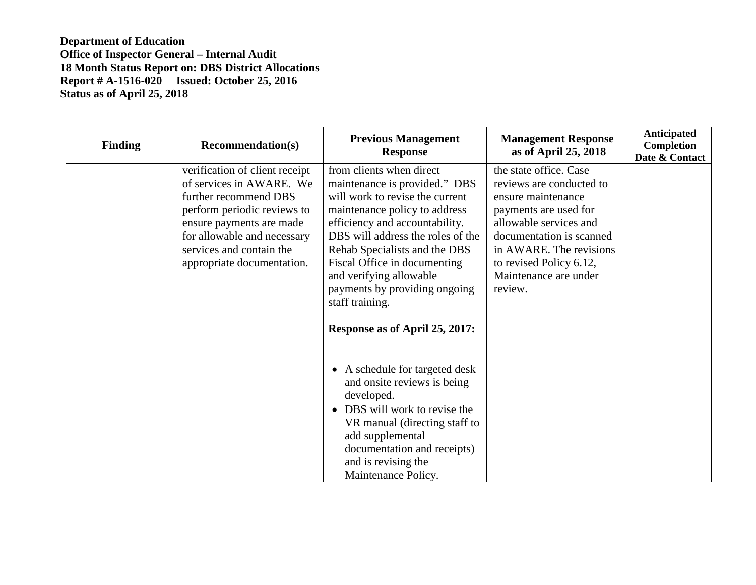| <b>Finding</b> | <b>Recommendation(s)</b>                                                                                                                                                                                                                | <b>Previous Management</b><br><b>Response</b>                                                                                                                                                                                                                                                                                                                                          | <b>Management Response</b><br>as of April 25, 2018                                                                                                                                                                                                | Anticipated<br>Completion<br>Date & Contact |
|----------------|-----------------------------------------------------------------------------------------------------------------------------------------------------------------------------------------------------------------------------------------|----------------------------------------------------------------------------------------------------------------------------------------------------------------------------------------------------------------------------------------------------------------------------------------------------------------------------------------------------------------------------------------|---------------------------------------------------------------------------------------------------------------------------------------------------------------------------------------------------------------------------------------------------|---------------------------------------------|
|                | verification of client receipt<br>of services in AWARE. We<br>further recommend DBS<br>perform periodic reviews to<br>ensure payments are made<br>for allowable and necessary<br>services and contain the<br>appropriate documentation. | from clients when direct<br>maintenance is provided." DBS<br>will work to revise the current<br>maintenance policy to address<br>efficiency and accountability.<br>DBS will address the roles of the<br>Rehab Specialists and the DBS<br>Fiscal Office in documenting<br>and verifying allowable<br>payments by providing ongoing<br>staff training.<br>Response as of April 25, 2017: | the state office. Case<br>reviews are conducted to<br>ensure maintenance<br>payments are used for<br>allowable services and<br>documentation is scanned<br>in AWARE. The revisions<br>to revised Policy 6.12,<br>Maintenance are under<br>review. |                                             |
|                |                                                                                                                                                                                                                                         | • A schedule for targeted desk<br>and onsite reviews is being<br>developed.<br>DBS will work to revise the<br>VR manual (directing staff to<br>add supplemental<br>documentation and receipts)<br>and is revising the<br>Maintenance Policy.                                                                                                                                           |                                                                                                                                                                                                                                                   |                                             |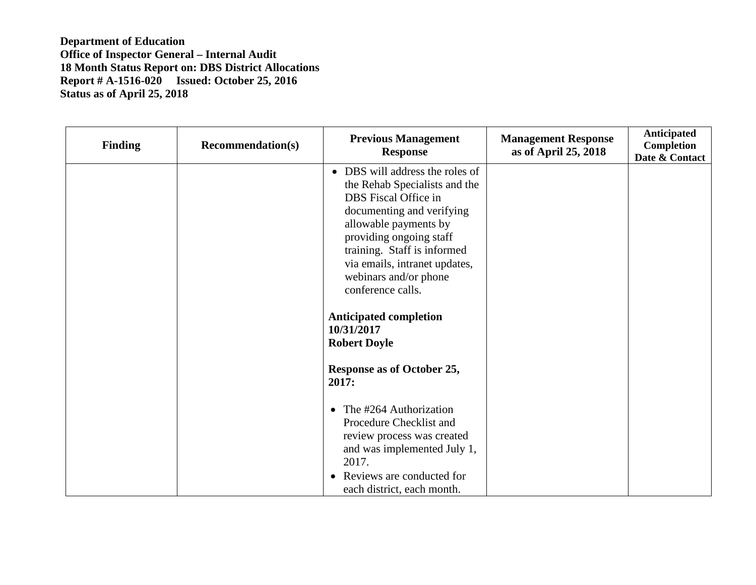| <b>Finding</b> | <b>Recommendation(s)</b> | <b>Previous Management</b><br><b>Response</b>                                                                                                                                                                                                                                           | <b>Management Response</b><br>as of April 25, 2018 | Anticipated<br>Completion<br>Date & Contact |
|----------------|--------------------------|-----------------------------------------------------------------------------------------------------------------------------------------------------------------------------------------------------------------------------------------------------------------------------------------|----------------------------------------------------|---------------------------------------------|
|                |                          | • DBS will address the roles of<br>the Rehab Specialists and the<br>DBS Fiscal Office in<br>documenting and verifying<br>allowable payments by<br>providing ongoing staff<br>training. Staff is informed<br>via emails, intranet updates,<br>webinars and/or phone<br>conference calls. |                                                    |                                             |
|                |                          | <b>Anticipated completion</b><br>10/31/2017<br><b>Robert Doyle</b>                                                                                                                                                                                                                      |                                                    |                                             |
|                |                          | <b>Response as of October 25,</b><br>2017:                                                                                                                                                                                                                                              |                                                    |                                             |
|                |                          | The #264 Authorization<br>Procedure Checklist and<br>review process was created<br>and was implemented July 1,<br>2017.<br>• Reviews are conducted for<br>each district, each month.                                                                                                    |                                                    |                                             |